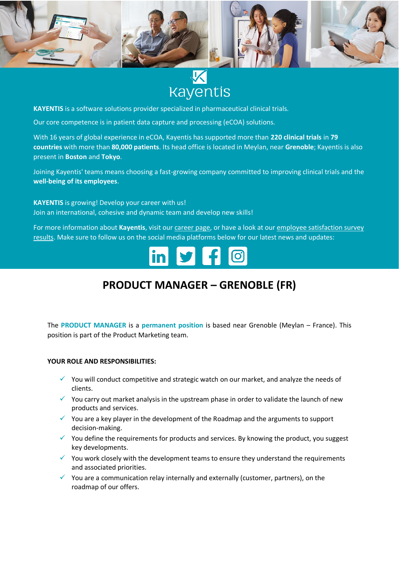

# **Kayentis**

**KAYENTIS** is a software solutions provider specialized in pharmaceutical clinical trials.

Our core competence is in patient data capture and processing (eCOA) solutions.

With 16 years of global experience in eCOA, Kayentis has supported more than **220 clinical trials** in **79 countries** with more than **80,000 patients**. Its head office is located in Meylan, near **Grenoble**; Kayentis is also present in **Boston** and **Tokyo**.

Joining Kayentis' teams means choosing a fast-growing company committed to improving clinical trials and the **well-being of its employees**.

**KAYENTIS** is growing! Develop your career with us! Join an international, cohesive and dynamic team and develop new skills!

For more information about **Kayentis**, visit ou[r career page,](https://kayentis.com/about-us/careers/) or have a look at our [employee satisfaction survey](https://kayentis.com/2019-employee-satisfaction-survey/)  [results.](https://kayentis.com/2019-employee-satisfaction-survey/) Make sure to follow us on the social media platforms below for our latest news and updates:

## **PRODUCT MANAGER – GRENOBLE (FR)**

The **PRODUCT MANAGER** is a **permanent position** is based near Grenoble (Meylan – France). This position is part of the Product Marketing team.

#### **YOUR ROLE AND RESPONSIBILITIES:**

- ✓ You will conduct competitive and strategic watch on our market, and analyze the needs of clients.
- $\checkmark$  You carry out market analysis in the upstream phase in order to validate the launch of new products and services.
- $\checkmark$  You are a key player in the development of the Roadmap and the arguments to support decision-making.
- $\checkmark$  You define the requirements for products and services. By knowing the product, you suggest key developments.
- $\checkmark$  You work closely with the development teams to ensure they understand the requirements and associated priorities.
- $\checkmark$  You are a communication relay internally and externally (customer, partners), on the roadmap of our offers.